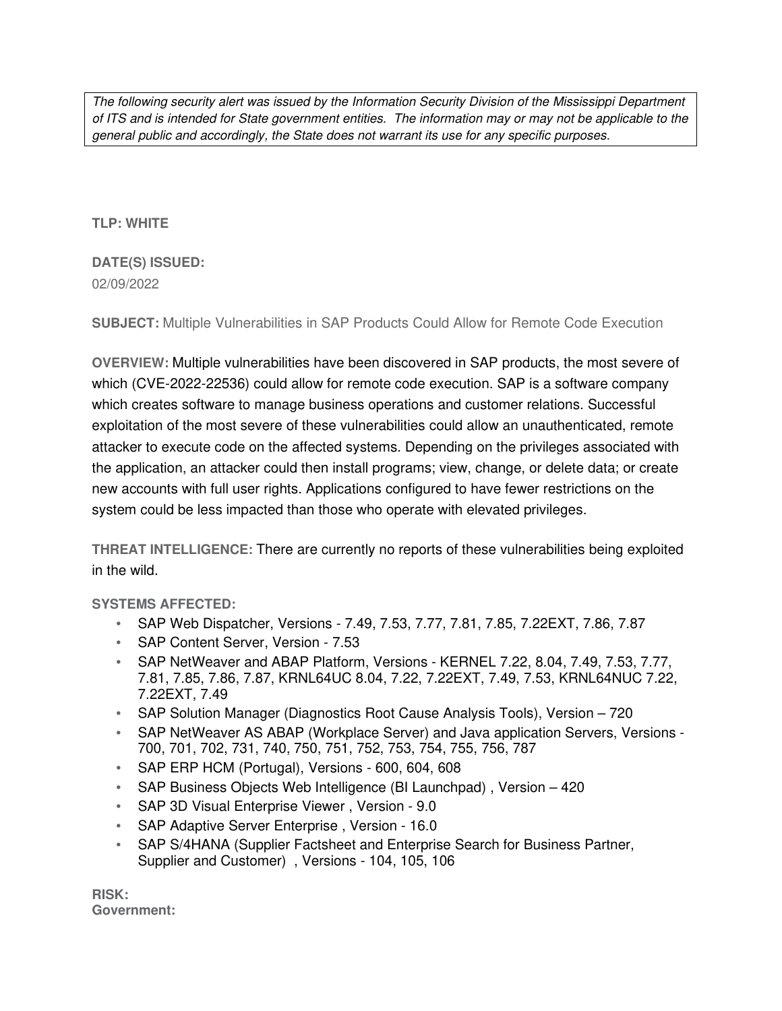The following security alert was issued by the Information Security Division of the Mississippi Department of ITS and is intended for State government entities. The information may or may not be applicable to the general public and accordingly, the State does not warrant its use for any specific purposes.

## **TLP: WHITE**

# **DATE(S) ISSUED:** 02/09/2022

**SUBJECT:** Multiple Vulnerabilities in SAP Products Could Allow for Remote Code Execution

**OVERVIEW:** Multiple vulnerabilities have been discovered in SAP products, the most severe of which (CVE-2022-22536) could allow for remote code execution. SAP is a software company which creates software to manage business operations and customer relations. Successful exploitation of the most severe of these vulnerabilities could allow an unauthenticated, remote attacker to execute code on the affected systems. Depending on the privileges associated with the application, an attacker could then install programs; view, change, or delete data; or create new accounts with full user rights. Applications configured to have fewer restrictions on the system could be less impacted than those who operate with elevated privileges.

**THREAT INTELLIGENCE:** There are currently no reports of these vulnerabilities being exploited in the wild.

## **SYSTEMS AFFECTED:**

- SAP Web Dispatcher, Versions 7.49, 7.53, 7.77, 7.81, 7.85, 7.22EXT, 7.86, 7.87
- SAP Content Server, Version 7.53
- SAP NetWeaver and ABAP Platform, Versions KERNEL 7.22, 8.04, 7.49, 7.53, 7.77, 7.81, 7.85, 7.86, 7.87, KRNL64UC 8.04, 7.22, 7.22EXT, 7.49, 7.53, KRNL64NUC 7.22, 7.22EXT, 7.49
- SAP Solution Manager (Diagnostics Root Cause Analysis Tools), Version 720
- SAP NetWeaver AS ABAP (Workplace Server) and Java application Servers, Versions 700, 701, 702, 731, 740, 750, 751, 752, 753, 754, 755, 756, 787
- SAP ERP HCM (Portugal), Versions 600, 604, 608
- SAP Business Objects Web Intelligence (BI Launchpad), Version 420
- SAP 3D Visual Enterprise Viewer, Version 9.0
- SAP Adaptive Server Enterprise, Version 16.0
- SAP S/4HANA (Supplier Factsheet and Enterprise Search for Business Partner, Supplier and Customer) , Versions - 104, 105, 106

**RISK: Government:**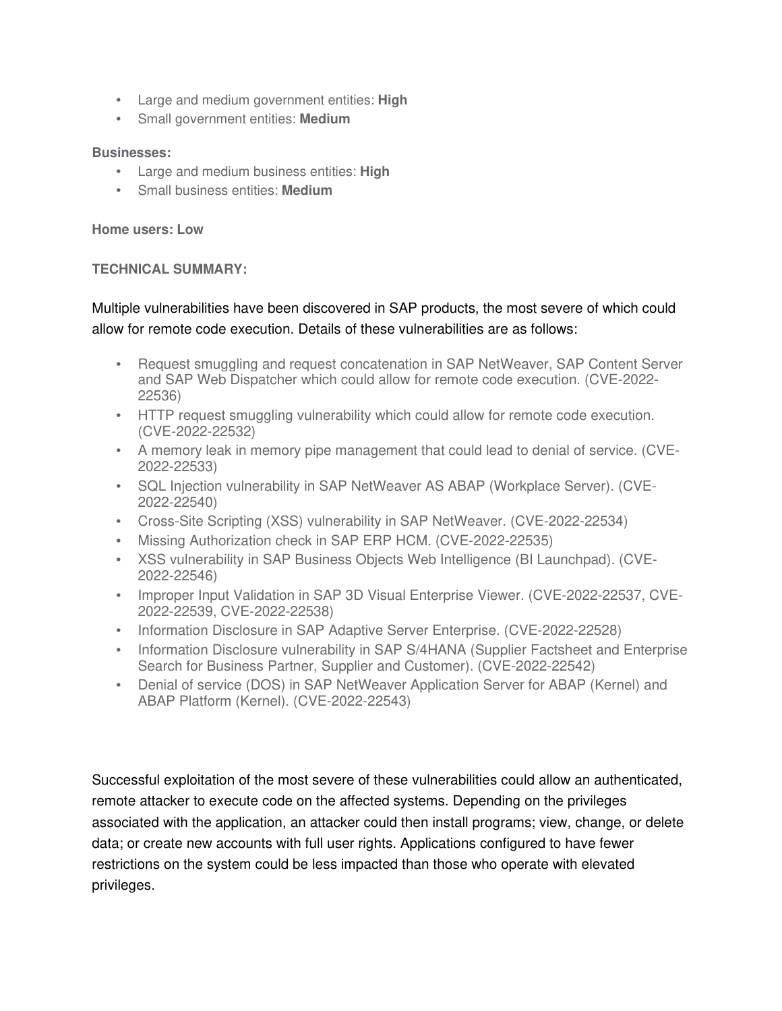- Large and medium government entities: **High**
- Small government entities: **Medium**

#### **Businesses:**

- Large and medium business entities: **High**
- Small business entities: **Medium**

#### **Home users: Low**

#### **TECHNICAL SUMMARY:**

# Multiple vulnerabilities have been discovered in SAP products, the most severe of which could allow for remote code execution. Details of these vulnerabilities are as follows:

- Request smuggling and request concatenation in SAP NetWeaver, SAP Content Server and SAP Web Dispatcher which could allow for remote code execution. (CVE-2022- 22536)
- HTTP request smuggling vulnerability which could allow for remote code execution. (CVE-2022-22532)
- A memory leak in memory pipe management that could lead to denial of service. (CVE-2022-22533)
- SQL Injection vulnerability in SAP NetWeaver AS ABAP (Workplace Server). (CVE-2022-22540)
- Cross-Site Scripting (XSS) vulnerability in SAP NetWeaver. (CVE-2022-22534)
- Missing Authorization check in SAP ERP HCM. (CVE-2022-22535)
- XSS vulnerability in SAP Business Objects Web Intelligence (BI Launchpad). (CVE-2022-22546)
- Improper Input Validation in SAP 3D Visual Enterprise Viewer. (CVE-2022-22537, CVE-2022-22539, CVE-2022-22538)
- Information Disclosure in SAP Adaptive Server Enterprise. (CVE-2022-22528)
- Information Disclosure vulnerability in SAP S/4HANA (Supplier Factsheet and Enterprise Search for Business Partner, Supplier and Customer). (CVE-2022-22542)
- Denial of service (DOS) in SAP NetWeaver Application Server for ABAP (Kernel) and ABAP Platform (Kernel). (CVE-2022-22543)

Successful exploitation of the most severe of these vulnerabilities could allow an authenticated, remote attacker to execute code on the affected systems. Depending on the privileges associated with the application, an attacker could then install programs; view, change, or delete data; or create new accounts with full user rights. Applications configured to have fewer restrictions on the system could be less impacted than those who operate with elevated privileges.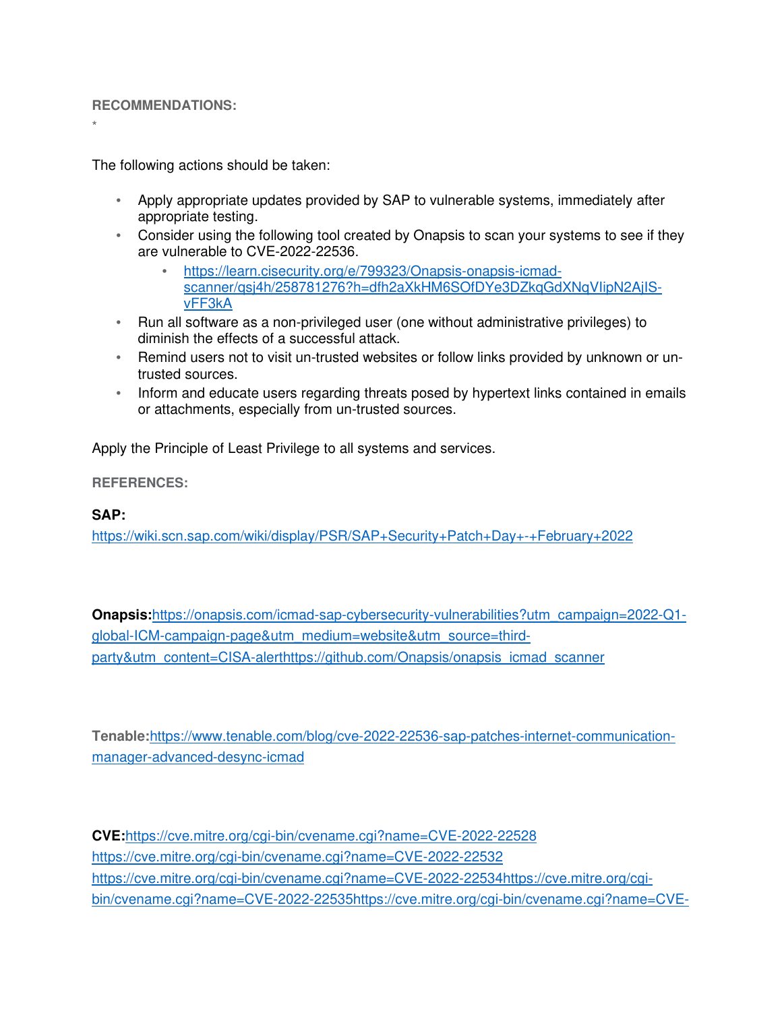#### **RECOMMENDATIONS:**

\*

The following actions should be taken:

- Apply appropriate updates provided by SAP to vulnerable systems, immediately after appropriate testing.
- Consider using the following tool created by Onapsis to scan your systems to see if they are vulnerable to CVE-2022-22536.
	- https://learn.cisecurity.org/e/799323/Onapsis-onapsis-icmadscanner/qsj4h/258781276?h=dfh2aXkHM6SOfDYe3DZkqGdXNqVIipN2AjISvFF3kA
- Run all software as a non-privileged user (one without administrative privileges) to diminish the effects of a successful attack.
- Remind users not to visit un-trusted websites or follow links provided by unknown or untrusted sources.
- Inform and educate users regarding threats posed by hypertext links contained in emails or attachments, especially from un-trusted sources.

Apply the Principle of Least Privilege to all systems and services.

**REFERENCES:**

### **SAP:**

https://wiki.scn.sap.com/wiki/display/PSR/SAP+Security+Patch+Day+-+February+2022

**Onapsis:**https://onapsis.com/icmad-sap-cybersecurity-vulnerabilities?utm\_campaign=2022-Q1 global-ICM-campaign-page&utm\_medium=website&utm\_source=thirdparty&utm\_content=CISA-alerthttps://github.com/Onapsis/onapsis\_icmad\_scanner

**Tenable:**https://www.tenable.com/blog/cve-2022-22536-sap-patches-internet-communicationmanager-advanced-desync-icmad

**CVE:**https://cve.mitre.org/cgi-bin/cvename.cgi?name=CVE-2022-22528 https://cve.mitre.org/cgi-bin/cvename.cgi?name=CVE-2022-22532 https://cve.mitre.org/cgi-bin/cvename.cgi?name=CVE-2022-22534https://cve.mitre.org/cgibin/cvename.cgi?name=CVE-2022-22535https://cve.mitre.org/cgi-bin/cvename.cgi?name=CVE-